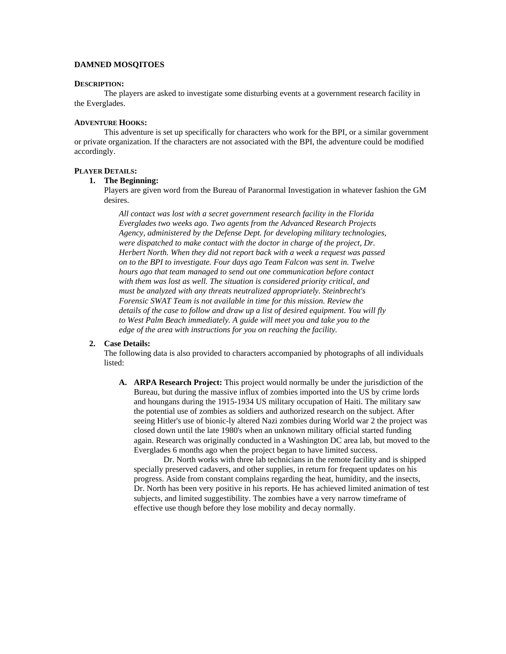## **DAMNED MOSQITOES**

#### **DESCRIPTION:**

The players are asked to investigate some disturbing events at a government research facility in the Everglades.

# **ADVENTURE HOOKS:**

This adventure is set up specifically for characters who work for the BPI, or a similar government or private organization. If the characters are not associated with the BPI, the adventure could be modified accordingly.

#### **PLAYER DETAILS:**

# **1. The Beginning:**

Players are given word from the Bureau of Paranormal Investigation in whatever fashion the GM desires.

*All contact was lost with a secret government research facility in the Florida Everglades two weeks ago. Two agents from the Advanced Research Projects Agency, administered by the Defense Dept. for developing military technologies, were dispatched to make contact with the doctor in charge of the project, Dr. Herbert North. When they did not report back with a week a request was passed on to the BPI to investigate. Four days ago Team Falcon was sent in. Twelve hours ago that team managed to send out one communication before contact with them was lost as well. The situation is considered priority critical, and must be analyzed with any threats neutralized appropriately. Steinbrecht's Forensic SWAT Team is not available in time for this mission. Review the details of the case to follow and draw up a list of desired equipment. You will fly to West Palm Beach immediately. A guide will meet you and take you to the edge of the area with instructions for you on reaching the facility.* 

#### **2. Case Details:**

The following data is also provided to characters accompanied by photographs of all individuals listed:

**A. ARPA Research Project:** This project would normally be under the jurisdiction of the Bureau, but during the massive influx of zombies imported into the US by crime lords and houngans during the 1915-1934 US military occupation of Haiti. The military saw the potential use of zombies as soldiers and authorized research on the subject. After seeing Hitler's use of bionic-ly altered Nazi zombies during World war 2 the project was closed down until the late 1980's when an unknown military official started funding again. Research was originally conducted in a Washington DC area lab, but moved to the Everglades 6 months ago when the project began to have limited success.

Dr. North works with three lab technicians in the remote facility and is shipped specially preserved cadavers, and other supplies, in return for frequent updates on his progress. Aside from constant complains regarding the heat, humidity, and the insects, Dr. North has been very positive in his reports. He has achieved limited animation of test subjects, and limited suggestibility. The zombies have a very narrow timeframe of effective use though before they lose mobility and decay normally.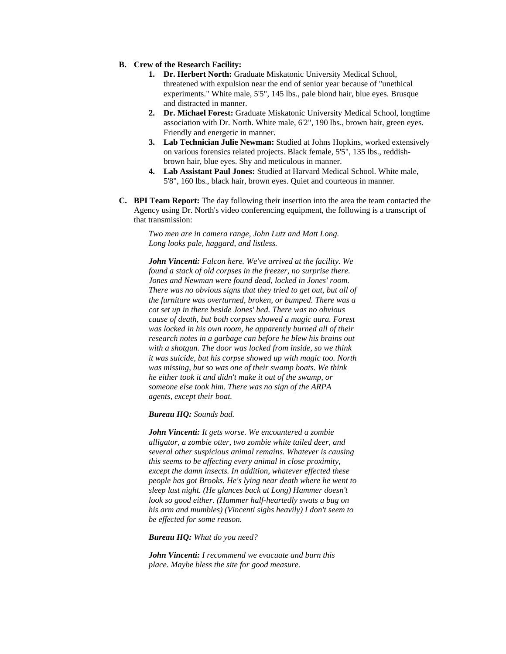- **B. Crew of the Research Facility:**
	- **1. Dr. Herbert North:** Graduate Miskatonic University Medical School, threatened with expulsion near the end of senior year because of "unethical experiments." White male, 5'5", 145 lbs., pale blond hair, blue eyes. Brusque and distracted in manner.
	- **2. Dr. Michael Forest:** Graduate Miskatonic University Medical School, longtime association with Dr. North. White male, 6'2", 190 lbs., brown hair, green eyes. Friendly and energetic in manner.
	- **3. Lab Technician Julie Newman:** Studied at Johns Hopkins, worked extensively on various forensics related projects. Black female, 5'5", 135 lbs., reddishbrown hair, blue eyes. Shy and meticulous in manner.
	- **4. Lab Assistant Paul Jones:** Studied at Harvard Medical School. White male, 5'8", 160 lbs., black hair, brown eyes. Quiet and courteous in manner.
- **C. BPI Team Report:** The day following their insertion into the area the team contacted the Agency using Dr. North's video conferencing equipment, the following is a transcript of that transmission:

*Two men are in camera range, John Lutz and Matt Long. Long looks pale, haggard, and listless.* 

*John Vincenti: Falcon here. We've arrived at the facility. We found a stack of old corpses in the freezer, no surprise there. Jones and Newman were found dead, locked in Jones' room. There was no obvious signs that they tried to get out, but all of the furniture was overturned, broken, or bumped. There was a cot set up in there beside Jones' bed. There was no obvious cause of death, but both corpses showed a magic aura. Forest was locked in his own room, he apparently burned all of their research notes in a garbage can before he blew his brains out with a shotgun. The door was locked from inside, so we think it was suicide, but his corpse showed up with magic too. North was missing, but so was one of their swamp boats. We think he either took it and didn't make it out of the swamp, or someone else took him. There was no sign of the ARPA agents, except their boat.* 

*Bureau HQ: Sounds bad.* 

*John Vincenti: It gets worse. We encountered a zombie alligator, a zombie otter, two zombie white tailed deer, and several other suspicious animal remains. Whatever is causing this seems to be affecting every animal in close proximity, except the damn insects. In addition, whatever effected these people has got Brooks. He's lying near death where he went to sleep last night. (He glances back at Long) Hammer doesn't look so good either. (Hammer half-heartedly swats a bug on his arm and mumbles) (Vincenti sighs heavily) I don't seem to be effected for some reason.* 

*Bureau HQ: What do you need?* 

*John Vincenti: I recommend we evacuate and burn this place. Maybe bless the site for good measure.*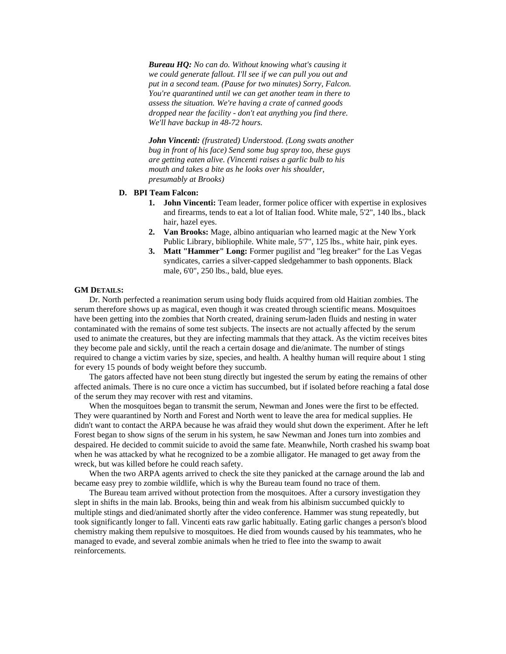*Bureau HQ: No can do. Without knowing what's causing it we could generate fallout. I'll see if we can pull you out and put in a second team. (Pause for two minutes) Sorry, Falcon. You're quarantined until we can get another team in there to assess the situation. We're having a crate of canned goods dropped near the facility - don't eat anything you find there. We'll have backup in 48-72 hours.* 

*John Vincenti: (frustrated) Understood. (Long swats another bug in front of his face) Send some bug spray too, these guys are getting eaten alive. (Vincenti raises a garlic bulb to his mouth and takes a bite as he looks over his shoulder, presumably at Brooks)* 

#### **D. BPI Team Falcon:**

- **1. John Vincenti:** Team leader, former police officer with expertise in explosives and firearms, tends to eat a lot of Italian food. White male, 5'2", 140 lbs., black hair, hazel eyes.
- **2. Van Brooks:** Mage, albino antiquarian who learned magic at the New York Public Library, bibliophile. White male, 5'7", 125 lbs., white hair, pink eyes.
- **3. Matt "Hammer" Long:** Former pugilist and "leg breaker" for the Las Vegas syndicates, carries a silver-capped sledgehammer to bash opponents. Black male, 6'0", 250 lbs., bald, blue eyes.

# **GM DETAILS:**

 Dr. North perfected a reanimation serum using body fluids acquired from old Haitian zombies. The serum therefore shows up as magical, even though it was created through scientific means. Mosquitoes have been getting into the zombies that North created, draining serum-laden fluids and nesting in water contaminated with the remains of some test subjects. The insects are not actually affected by the serum used to animate the creatures, but they are infecting mammals that they attack. As the victim receives bites they become pale and sickly, until the reach a certain dosage and die/animate. The number of stings required to change a victim varies by size, species, and health. A healthy human will require about 1 sting for every 15 pounds of body weight before they succumb.

The gators affected have not been stung directly but ingested the serum by eating the remains of other affected animals. There is no cure once a victim has succumbed, but if isolated before reaching a fatal dose of the serum they may recover with rest and vitamins.

When the mosquitoes began to transmit the serum, Newman and Jones were the first to be effected. They were quarantined by North and Forest and North went to leave the area for medical supplies. He didn't want to contact the ARPA because he was afraid they would shut down the experiment. After he left Forest began to show signs of the serum in his system, he saw Newman and Jones turn into zombies and despaired. He decided to commit suicide to avoid the same fate. Meanwhile, North crashed his swamp boat when he was attacked by what he recognized to be a zombie alligator. He managed to get away from the wreck, but was killed before he could reach safety.

When the two ARPA agents arrived to check the site they panicked at the carnage around the lab and became easy prey to zombie wildlife, which is why the Bureau team found no trace of them.

The Bureau team arrived without protection from the mosquitoes. After a cursory investigation they slept in shifts in the main lab. Brooks, being thin and weak from his albinism succumbed quickly to multiple stings and died/animated shortly after the video conference. Hammer was stung repeatedly, but took significantly longer to fall. Vincenti eats raw garlic habitually. Eating garlic changes a person's blood chemistry making them repulsive to mosquitoes. He died from wounds caused by his teammates, who he managed to evade, and several zombie animals when he tried to flee into the swamp to await reinforcements.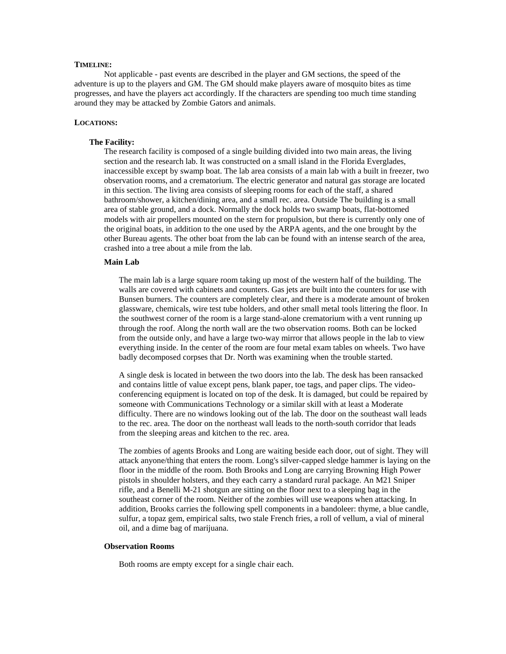## **TIMELINE:**

Not applicable - past events are described in the player and GM sections, the speed of the adventure is up to the players and GM. The GM should make players aware of mosquito bites as time progresses, and have the players act accordingly. If the characters are spending too much time standing around they may be attacked by Zombie Gators and animals.

# **LOCATIONS:**

#### **The Facility:**

The research facility is composed of a single building divided into two main areas, the living section and the research lab. It was constructed on a small island in the Florida Everglades, inaccessible except by swamp boat. The lab area consists of a main lab with a built in freezer, two observation rooms, and a crematorium. The electric generator and natural gas storage are located in this section. The living area consists of sleeping rooms for each of the staff, a shared bathroom/shower, a kitchen/dining area, and a small rec. area. Outside The building is a small area of stable ground, and a dock. Normally the dock holds two swamp boats, flat-bottomed models with air propellers mounted on the stern for propulsion, but there is currently only one of the original boats, in addition to the one used by the ARPA agents, and the one brought by the other Bureau agents. The other boat from the lab can be found with an intense search of the area, crashed into a tree about a mile from the lab.

#### **Main Lab**

The main lab is a large square room taking up most of the western half of the building. The walls are covered with cabinets and counters. Gas jets are built into the counters for use with Bunsen burners. The counters are completely clear, and there is a moderate amount of broken glassware, chemicals, wire test tube holders, and other small metal tools littering the floor. In the southwest corner of the room is a large stand-alone crematorium with a vent running up through the roof. Along the north wall are the two observation rooms. Both can be locked from the outside only, and have a large two-way mirror that allows people in the lab to view everything inside. In the center of the room are four metal exam tables on wheels. Two have badly decomposed corpses that Dr. North was examining when the trouble started.

A single desk is located in between the two doors into the lab. The desk has been ransacked and contains little of value except pens, blank paper, toe tags, and paper clips. The videoconferencing equipment is located on top of the desk. It is damaged, but could be repaired by someone with Communications Technology or a similar skill with at least a Moderate difficulty. There are no windows looking out of the lab. The door on the southeast wall leads to the rec. area. The door on the northeast wall leads to the north-south corridor that leads from the sleeping areas and kitchen to the rec. area.

The zombies of agents Brooks and Long are waiting beside each door, out of sight. They will attack anyone/thing that enters the room. Long's silver-capped sledge hammer is laying on the floor in the middle of the room. Both Brooks and Long are carrying Browning High Power pistols in shoulder holsters, and they each carry a standard rural package. An M21 Sniper rifle, and a Benelli M-21 shotgun are sitting on the floor next to a sleeping bag in the southeast corner of the room. Neither of the zombies will use weapons when attacking. In addition, Brooks carries the following spell components in a bandoleer: thyme, a blue candle, sulfur, a topaz gem, empirical salts, two stale French fries, a roll of vellum, a vial of mineral oil, and a dime bag of marijuana.

# **Observation Rooms**

Both rooms are empty except for a single chair each.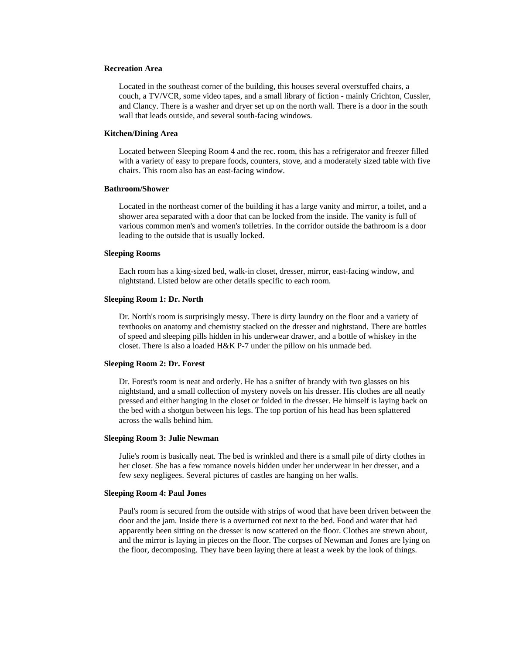# **Recreation Area**

Located in the southeast corner of the building, this houses several overstuffed chairs, a couch, a TV/VCR, some video tapes, and a small library of fiction - mainly Crichton, Cussler, and Clancy. There is a washer and dryer set up on the north wall. There is a door in the south wall that leads outside, and several south-facing windows.

## **Kitchen/Dining Area**

Located between Sleeping Room 4 and the rec. room, this has a refrigerator and freezer filled with a variety of easy to prepare foods, counters, stove, and a moderately sized table with five chairs. This room also has an east-facing window.

#### **Bathroom/Shower**

Located in the northeast corner of the building it has a large vanity and mirror, a toilet, and a shower area separated with a door that can be locked from the inside. The vanity is full of various common men's and women's toiletries. In the corridor outside the bathroom is a door leading to the outside that is usually locked.

## **Sleeping Rooms**

Each room has a king-sized bed, walk-in closet, dresser, mirror, east-facing window, and nightstand. Listed below are other details specific to each room.

## **Sleeping Room 1: Dr. North**

Dr. North's room is surprisingly messy. There is dirty laundry on the floor and a variety of textbooks on anatomy and chemistry stacked on the dresser and nightstand. There are bottles of speed and sleeping pills hidden in his underwear drawer, and a bottle of whiskey in the closet. There is also a loaded H&K P-7 under the pillow on his unmade bed.

#### **Sleeping Room 2: Dr. Forest**

Dr. Forest's room is neat and orderly. He has a snifter of brandy with two glasses on his nightstand, and a small collection of mystery novels on his dresser. His clothes are all neatly pressed and either hanging in the closet or folded in the dresser. He himself is laying back on the bed with a shotgun between his legs. The top portion of his head has been splattered across the walls behind him.

## **Sleeping Room 3: Julie Newman**

Julie's room is basically neat. The bed is wrinkled and there is a small pile of dirty clothes in her closet. She has a few romance novels hidden under her underwear in her dresser, and a few sexy negligees. Several pictures of castles are hanging on her walls.

#### **Sleeping Room 4: Paul Jones**

Paul's room is secured from the outside with strips of wood that have been driven between the door and the jam. Inside there is a overturned cot next to the bed. Food and water that had apparently been sitting on the dresser is now scattered on the floor. Clothes are strewn about, and the mirror is laying in pieces on the floor. The corpses of Newman and Jones are lying on the floor, decomposing. They have been laying there at least a week by the look of things.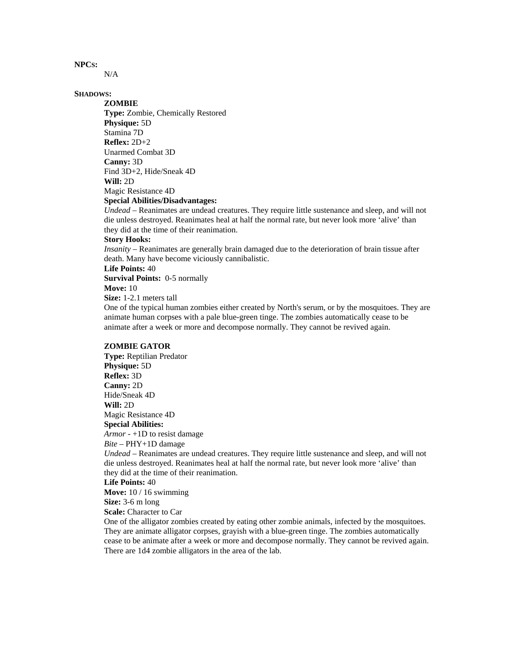# **NPCS:**

N/A

# **SHADOWS:**

**ZOMBIE Type:** Zombie, Chemically Restored **Physique:** 5D Stamina 7D **Reflex:** 2D+2 Unarmed Combat 3D **Canny:** 3D Find 3D+2, Hide/Sneak 4D **Will:** 2D Magic Resistance 4D **Special Abilities/Disadvantages:**

*Undead* – Reanimates are undead creatures. They require little sustenance and sleep, and will not die unless destroyed. Reanimates heal at half the normal rate, but never look more 'alive' than they did at the time of their reanimation.

#### **Story Hooks:**

*Insanity* – Reanimates are generally brain damaged due to the deterioration of brain tissue after death. Many have become viciously cannibalistic.

# **Life Points:** 40

**Survival Points:** 0-5 normally

# **Move:** 10

**Size:** 1-2.1 meters tall

One of the typical human zombies either created by North's serum, or by the mosquitoes. They are animate human corpses with a pale blue-green tinge. The zombies automatically cease to be animate after a week or more and decompose normally. They cannot be revived again.

#### **ZOMBIE GATOR**

**Type:** Reptilian Predator **Physique:** 5D **Reflex:** 3D **Canny:** 2D Hide/Sneak 4D **Will:** 2D Magic Resistance 4D **Special Abilities:** *Armor* - +1D to resist damage

*Bite* – PHY+1D damage

*Undead* – Reanimates are undead creatures. They require little sustenance and sleep, and will not die unless destroyed. Reanimates heal at half the normal rate, but never look more 'alive' than they did at the time of their reanimation.

#### **Life Points:** 40

**Move:** 10 / 16 swimming

**Size:** 3-6 m long

**Scale:** Character to Car

One of the alligator zombies created by eating other zombie animals, infected by the mosquitoes. They are animate alligator corpses, grayish with a blue-green tinge. The zombies automatically cease to be animate after a week or more and decompose normally. They cannot be revived again. There are 1d4 zombie alligators in the area of the lab.